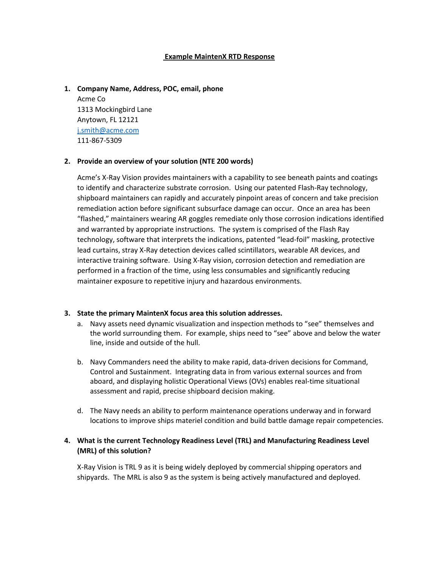#### **Example MaintenX RTD Response**

#### **1. Company Name, Address, POC, email, phone**

Acme Co 1313 Mockingbird Lane Anytown, FL 12121 [j.smith@acme.com](mailto:j.smith@acme.com) 111-867-5309

#### **2. Provide an overview of your solution (NTE 200 words)**

Acme's X-Ray Vision provides maintainers with a capability to see beneath paints and coatings to identify and characterize substrate corrosion. Using our patented Flash-Ray technology, shipboard maintainers can rapidly and accurately pinpoint areas of concern and take precision remediation action before significant subsurface damage can occur. Once an area has been "flashed," maintainers wearing AR goggles remediate only those corrosion indications identified and warranted by appropriate instructions. The system is comprised of the Flash Ray technology, software that interprets the indications, patented "lead-foil" masking, protective lead curtains, stray X-Ray detection devices called scintillators, wearable AR devices, and interactive training software. Using X-Ray vision, corrosion detection and remediation are performed in a fraction of the time, using less consumables and significantly reducing maintainer exposure to repetitive injury and hazardous environments.

### **3. State the primary MaintenX focus area this solution addresses.**

- a. Navy assets need dynamic visualization and inspection methods to "see" themselves and the world surrounding them. For example, ships need to "see" above and below the water line, inside and outside of the hull.
- b. Navy Commanders need the ability to make rapid, data-driven decisions for Command, Control and Sustainment. Integrating data in from various external sources and from aboard, and displaying holistic Operational Views (OVs) enables real-time situational assessment and rapid, precise shipboard decision making.
- d. The Navy needs an ability to perform maintenance operations underway and in forward locations to improve ships materiel condition and build battle damage repair competencies.

### **4. What is the current Technology Readiness Level (TRL) and Manufacturing Readiness Level (MRL) of this solution?**

X-Ray Vision is TRL 9 as it is being widely deployed by commercial shipping operators and shipyards. The MRL is also 9 as the system is being actively manufactured and deployed.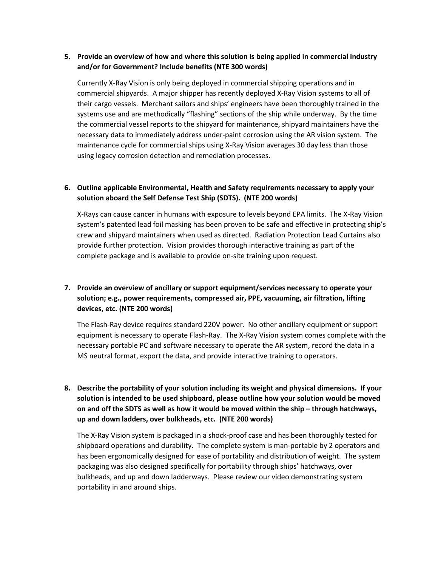### **5. Provide an overview of how and where this solution is being applied in commercial industry and/or for Government? Include benefits (NTE 300 words)**

Currently X-Ray Vision is only being deployed in commercial shipping operations and in commercial shipyards. A major shipper has recently deployed X-Ray Vision systems to all of their cargo vessels. Merchant sailors and ships' engineers have been thoroughly trained in the systems use and are methodically "flashing" sections of the ship while underway. By the time the commercial vessel reports to the shipyard for maintenance, shipyard maintainers have the necessary data to immediately address under-paint corrosion using the AR vision system. The maintenance cycle for commercial ships using X-Ray Vision averages 30 day less than those using legacy corrosion detection and remediation processes.

## **6. Outline applicable Environmental, Health and Safety requirements necessary to apply your solution aboard the Self Defense Test Ship (SDTS). (NTE 200 words)**

X-Rays can cause cancer in humans with exposure to levels beyond EPA limits. The X-Ray Vision system's patented lead foil masking has been proven to be safe and effective in protecting ship's crew and shipyard maintainers when used as directed. Radiation Protection Lead Curtains also provide further protection. Vision provides thorough interactive training as part of the complete package and is available to provide on-site training upon request.

# **7. Provide an overview of ancillary or support equipment/services necessary to operate your solution; e.g., power requirements, compressed air, PPE, vacuuming, air filtration, lifting devices, etc. (NTE 200 words)**

The Flash-Ray device requires standard 220V power. No other ancillary equipment or support equipment is necessary to operate Flash-Ray. The X-Ray Vision system comes complete with the necessary portable PC and software necessary to operate the AR system, record the data in a MS neutral format, export the data, and provide interactive training to operators.

# **8. Describe the portability of your solution including its weight and physical dimensions. If your solution is intended to be used shipboard, please outline how your solution would be moved on and off the SDTS as well as how it would be moved within the ship – through hatchways, up and down ladders, over bulkheads, etc. (NTE 200 words)**

The X-Ray Vision system is packaged in a shock-proof case and has been thoroughly tested for shipboard operations and durability. The complete system is man-portable by 2 operators and has been ergonomically designed for ease of portability and distribution of weight. The system packaging was also designed specifically for portability through ships' hatchways, over bulkheads, and up and down ladderways. Please review our video demonstrating system portability in and around ships.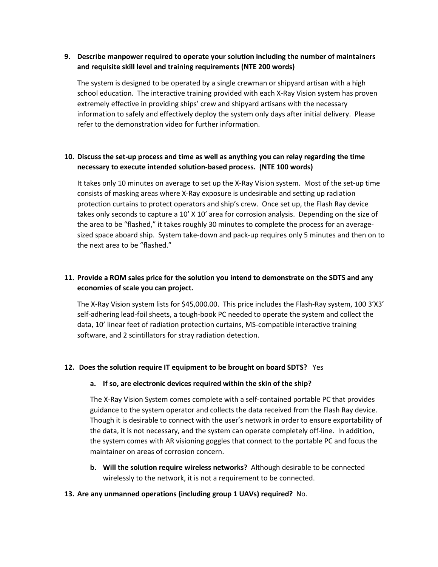### **9. Describe manpower required to operate your solution including the number of maintainers and requisite skill level and training requirements (NTE 200 words)**

The system is designed to be operated by a single crewman or shipyard artisan with a high school education. The interactive training provided with each X-Ray Vision system has proven extremely effective in providing ships' crew and shipyard artisans with the necessary information to safely and effectively deploy the system only days after initial delivery. Please refer to the demonstration video for further information.

## **10. Discuss the set-up process and time as well as anything you can relay regarding the time necessary to execute intended solution-based process. (NTE 100 words)**

It takes only 10 minutes on average to set up the X-Ray Vision system. Most of the set-up time consists of masking areas where X-Ray exposure is undesirable and setting up radiation protection curtains to protect operators and ship's crew. Once set up, the Flash Ray device takes only seconds to capture a 10' X 10' area for corrosion analysis. Depending on the size of the area to be "flashed," it takes roughly 30 minutes to complete the process for an averagesized space aboard ship. System take-down and pack-up requires only 5 minutes and then on to the next area to be "flashed."

## **11. Provide a ROM sales price for the solution you intend to demonstrate on the SDTS and any economies of scale you can project.**

The X-Ray Vision system lists for \$45,000.00. This price includes the Flash-Ray system, 100 3'X3' self-adhering lead-foil sheets, a tough-book PC needed to operate the system and collect the data, 10' linear feet of radiation protection curtains, MS-compatible interactive training software, and 2 scintillators for stray radiation detection.

### **12. Does the solution require IT equipment to be brought on board SDTS?** Yes

### **a. If so, are electronic devices required within the skin of the ship?**

The X-Ray Vision System comes complete with a self-contained portable PC that provides guidance to the system operator and collects the data received from the Flash Ray device. Though it is desirable to connect with the user's network in order to ensure exportability of the data, it is not necessary, and the system can operate completely off-line. In addition, the system comes with AR visioning goggles that connect to the portable PC and focus the maintainer on areas of corrosion concern.

**b. Will the solution require wireless networks?** Although desirable to be connected wirelessly to the network, it is not a requirement to be connected.

### **13. Are any unmanned operations (including group 1 UAVs) required?** No.